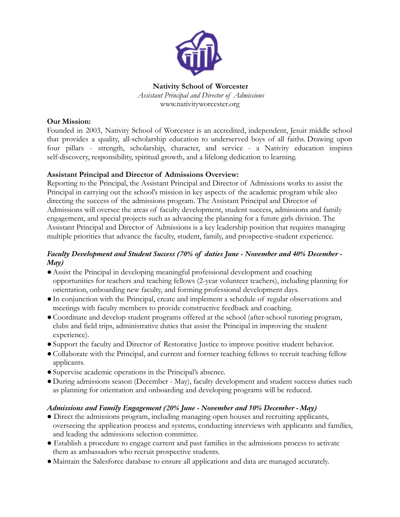

**Nativity School of Worcester** *Assistant Principal and Director of Admissions* www.nativityworcester.org

#### **Our Mission:**

Founded in 2003, Nativity School of Worcester is an accredited, independent, Jesuit middle school that provides a quality, all-scholarship education to underserved boys of all faiths. Drawing upon four pillars - strength, scholarship, character, and service - a Nativity education inspires self-discovery, responsibility, spiritual growth, and a lifelong dedication to learning.

#### **Assistant Principal and Director of Admissions Overview:**

Reporting to the Principal, the Assistant Principal and Director of Admissions works to assist the Principal in carrying out the school's mission in key aspects of the academic program while also directing the success of the admissions program. The Assistant Principal and Director of Admissions will oversee the areas of faculty development, student success, admissions and family engagement, and special projects such as advancing the planning for a future girls division. The Assistant Principal and Director of Admissions is a key leadership position that requires managing multiple priorities that advance the faculty, student, family, and prospective-student experience.

#### *Faculty Development and Student Success (70% of duties June - November and 40% December - May)*

- ●Assist the Principal in developing meaningful professional development and coaching opportunities for teachers and teaching fellows (2-year volunteer teachers), including planning for orientation, onboarding new faculty, and forming professional development days.
- ●In conjunction with the Principal, create and implement a schedule of regular observations and meetings with faculty members to provide constructive feedback and coaching.
- ●Coordinate and develop student programs offered at the school (after-school tutoring program, clubs and field trips, administrative duties that assist the Principal in improving the student experience).
- ●Support the faculty and Director of Restorative Justice to improve positive student behavior.
- ●Collaborate with the Principal, and current and former teaching fellows to recruit teaching fellow applicants.
- ●Supervise academic operations in the Principal's absence.
- ●During admissions season (December May), faculty development and student success duties such as planning for orientation and onboarding and developing programs will be reduced.

### *Admissions and Family Engagement (20% June - November and 50% December - May)*

- Direct the admissions program, including managing open houses and recruiting applicants, overseeing the application process and systems, conducting interviews with applicants and families, and leading the admissions selection committee.
- Establish a procedure to engage current and past families in the admissions process to activate them as ambassadors who recruit prospective students.
- Maintain the Salesforce database to ensure all applications and data are managed accurately.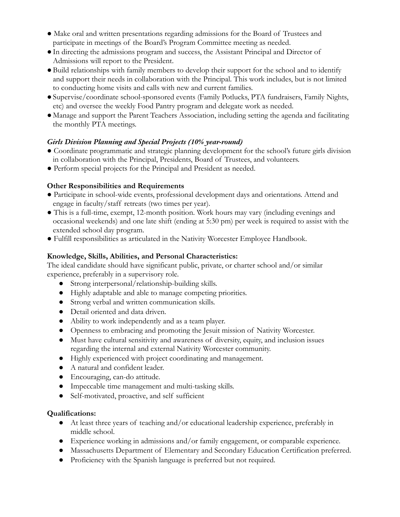- Make oral and written presentations regarding admissions for the Board of Trustees and participate in meetings of the Board's Program Committee meeting as needed.
- ●In directing the admissions program and success, the Assistant Principal and Director of Admissions will report to the President.
- ●Build relationships with family members to develop their support for the school and to identify and support their needs in collaboration with the Principal. This work includes, but is not limited to conducting home visits and calls with new and current families.
- ●Supervise/coordinate school-sponsored events (Family Potlucks, PTA fundraisers, Family Nights, etc) and oversee the weekly Food Pantry program and delegate work as needed.
- Manage and support the Parent Teachers Association, including setting the agenda and facilitating the monthly PTA meetings.

## *Girls Division Planning and Special Projects (10% year-round)*

- Coordinate programmatic and strategic planning development for the school's future girls division in collaboration with the Principal, Presidents, Board of Trustees, and volunteers.
- Perform special projects for the Principal and President as needed.

## **Other Responsibilities and Requirements**

- Participate in school-wide events, professional development days and orientations. Attend and engage in faculty/staff retreats (two times per year).
- This is a full-time, exempt, 12-month position. Work hours may vary (including evenings and occasional weekends) and one late shift (ending at 5:30 pm) per week is required to assist with the extended school day program.
- Fulfill responsibilities as articulated in the Nativity Worcester Employee Handbook.

## **Knowledge, Skills, Abilities, and Personal Characteristics:**

The ideal candidate should have significant public, private, or charter school and/or similar experience, preferably in a supervisory role.

- Strong interpersonal/relationship-building skills.
- Highly adaptable and able to manage competing priorities.
- Strong verbal and written communication skills.
- Detail oriented and data driven.
- Ability to work independently and as a team player.
- Openness to embracing and promoting the Jesuit mission of Nativity Worcester.
- Must have cultural sensitivity and awareness of diversity, equity, and inclusion issues regarding the internal and external Nativity Worcester community.
- Highly experienced with project coordinating and management.
- A natural and confident leader.
- Encouraging, can-do attitude.
- Impeccable time management and multi-tasking skills.
- Self-motivated, proactive, and self sufficient

# **Qualifications:**

- At least three years of teaching and/or educational leadership experience, preferably in middle school.
- Experience working in admissions and/or family engagement, or comparable experience.
- Massachusetts Department of Elementary and Secondary Education Certification preferred.
- Proficiency with the Spanish language is preferred but not required.